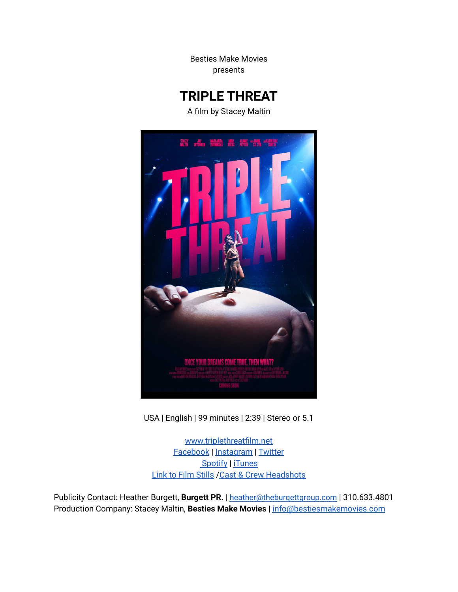Besties Make Movies presents

# **TRIPLE THREAT**

A film by Stacey Maltin



USA | English | 99 minutes | 2:39 | Stereo or 5.1

[www.triplethreatfilm.net](http://www.triplethreatfilm.net) [Facebook](https://www.facebook.com/triplethreatfilm) | [Instagram](https://www.instagram.com/bestiesmakemovies) | [Twitter](https://www.twitter.com/bestiesmovies) [Spotify](https://open.spotify.com/album/3AchlazIkn7YXDvHEYjzFW) | [iTunes](http://itunes.apple.com/album/id1518387701?ls=1&app=itunes) Link to Film [Stills](https://drive.google.com/drive/folders/1fvWAAQ2vOe-6tAj00yIYs19WZyBBWW2F?usp=sharing) /Cast & Crew [Headshots](https://drive.google.com/drive/folders/1gK_B-JvEo7G2LSvbru2N9-wFEF8q35rd?usp=sharing)

Publicity Contact: Heather Burgett, **Burgett PR.** | [heather@theburgettgroup.com](mailto:heather@theburgettgroup.com) | 310.633.4801 Production Company: Stacey Maltin, **Besties Make Movies** | [info@bestiesmakemovies.com](mailto:info@bestiesmakemovies.com)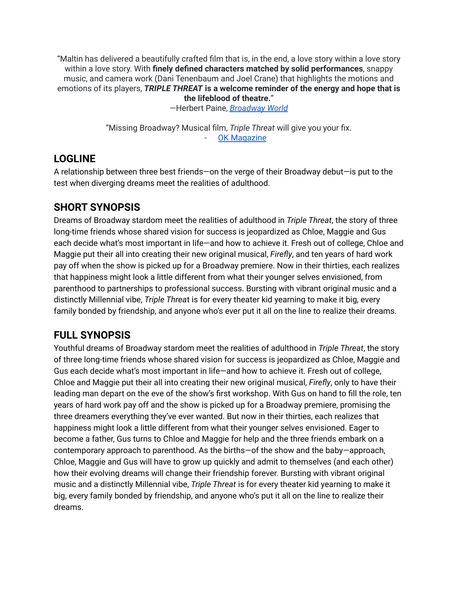"Maltin has delivered a beautifully crafted film that is, in the end, a love story within a love story within a love story. With **finely defined characters matched by solid performances**, snappy music, and camera work (Dani Tenenbaum and Joel Crane) that highlights the motions and emotions of its players, *TRIPLE THREAT* **is a welcome reminder of the energy and hope that is the lifeblood of theatre.**"

—Herbert Paine, *[Broadway](https://www.broadwayworld.com/phoenix/article/BWW-Review-High-Praise-For-Stacey-Maltins-TRIPLE-THREAT-20201009) World*

"Missing Broadway? Musical film, *Triple Threat* will give you your fix. **OK [Magazine](https://okmagazine.com/videos/musical-film-triple-threat-screening-broadway-nyc/)** 

## **LOGLINE**

A relationship between three best friends—on the verge of their Broadway debut—is put to the test when diverging dreams meet the realities of adulthood.

## **SHORT SYNOPSIS**

Dreams of Broadway stardom meet the realities of adulthood in *Triple Threat*, the story of three long-time friends whose shared vision for success is jeopardized as Chloe, Maggie and Gus each decide what's most important in life—and how to achieve it. Fresh out of college, Chloe and Maggie put their all into creating their new original musical, *Firefly*, and ten years of hard work pay off when the show is picked up for a Broadway premiere. Now in their thirties, each realizes that happiness might look a little different from what their younger selves envisioned, from parenthood to partnerships to professional success. Bursting with vibrant original music and a distinctly Millennial vibe, *Triple Threa*t is for every theater kid yearning to make it big, every family bonded by friendship, and anyone who's ever put it all on the line to realize their dreams.

## **FULL SYNOPSIS**

Youthful dreams of Broadway stardom meet the realities of adulthood in *Triple Threat*, the story of three long-time friends whose shared vision for success is jeopardized as Chloe, Maggie and Gus each decide what's most important in life—and how to achieve it. Fresh out of college, Chloe and Maggie put their all into creating their new original musical, *Firefly*, only to have their leading man depart on the eve of the show's first workshop. With Gus on hand to fill the role, ten years of hard work pay off and the show is picked up for a Broadway premiere, promising the three dreamers everything they've ever wanted. But now in their thirties, each realizes that happiness might look a little different from what their younger selves envisioned. Eager to become a father, Gus turns to Chloe and Maggie for help and the three friends embark on a contemporary approach to parenthood. As the births—of the show and the baby—approach, Chloe, Maggie and Gus will have to grow up quickly and admit to themselves (and each other) how their evolving dreams will change their friendship forever. Bursting with vibrant original music and a distinctly Millennial vibe, *Triple Threat* is for every theater kid yearning to make it big, every family bonded by friendship, and anyone who's put it all on the line to realize their dreams.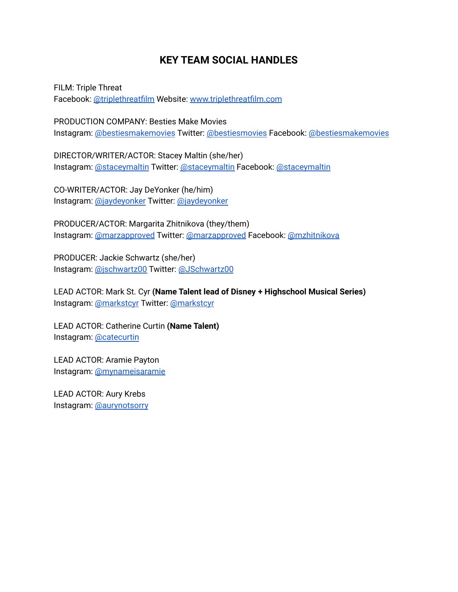## **KEY TEAM SOCIAL HANDLES**

FILM: Triple Threat Facebook: [@triplethreatfilm](http://www.facebook.com/triplethreatfilm) Website: [www.triplethreatfilm.com](http://www.triplethreatfilm.com)

PRODUCTION COMPANY: Besties Make Movies Instagram: [@bestiesmakemovies](http://www.instagram.com/bestiesmakemovies) Twitter: [@bestiesmovies](http://www.twitter.com/bestiesmovies) Facebook: [@bestiesmakemovies](http://www.facebook.com/bestiesmakemovies)

DIRECTOR/WRITER/ACTOR: Stacey Maltin (she/her) Instagram: [@staceymaltin](https://www.instagram.com/staceymaltin/) Twitter: [@staceymaltin](http://www.twitter.com/staceymaltin) Facebook: [@staceymaltin](http://www.facebook.com/staceymaltin)

CO-WRITER/ACTOR: Jay DeYonker (he/him) Instagram: [@jaydeyonker](http://www.instagram.com/jaydeyonker) Twitter: [@jaydeyonker](http://www.twitter.com/jaydeyonker)

PRODUCER/ACTOR: Margarita Zhitnikova (they/them) Instagram: [@marzapproved](http://www.instagram.com/marzapproved) Twitter: [@marzapproved](http://www.twitter.com/marzapproved) Facebook: [@mzhitnikova](http://www.facebook.com/mzhitnikova)

PRODUCER: Jackie Schwartz (she/her) Instagram: [@jschwartz00](http://www.instagram.com/jschwartz00) Twitter: [@JSchwartz00](https://twitter.com/JSchwartz00)

LEAD ACTOR: Mark St. Cyr **(Name Talent lead of Disney + Highschool Musical Series)** Instagram: [@markstcyr](https://www.instagram.com/markstcyr/) Twitter: [@markstcyr](https://twitter.com/MarkStCyr)

LEAD ACTOR: Catherine Curtin **(Name Talent)** Instagram: [@catecurtin](https://www.instagram.com/catecurtin/)

LEAD ACTOR: Aramie Payton Instagram: [@mynameisaramie](https://www.instagram.com/mynameisaramie/)

LEAD ACTOR: Aury Krebs Instagram: [@aurynotsorry](https://www.instagram.com/aurynotsorry/)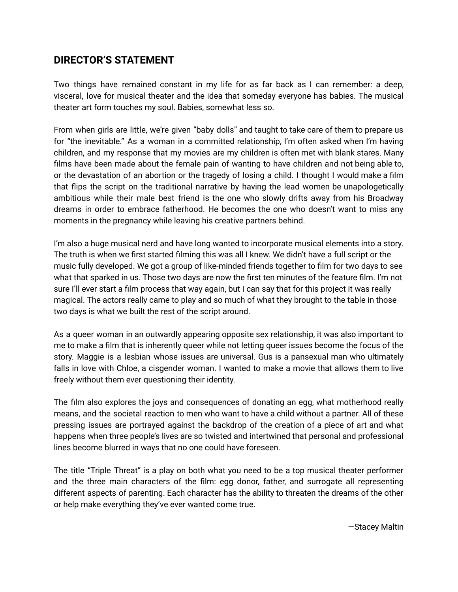## **DIRECTOR'S STATEMENT**

Two things have remained constant in my life for as far back as I can remember: a deep, visceral, love for musical theater and the idea that someday everyone has babies. The musical theater art form touches my soul. Babies, somewhat less so.

From when girls are little, we're given "baby dolls" and taught to take care of them to prepare us for "the inevitable." As a woman in a committed relationship, I'm often asked when I'm having children, and my response that my movies are my children is often met with blank stares. Many films have been made about the female pain of wanting to have children and not being able to, or the devastation of an abortion or the tragedy of losing a child. I thought I would make a film that flips the script on the traditional narrative by having the lead women be unapologetically ambitious while their male best friend is the one who slowly drifts away from his Broadway dreams in order to embrace fatherhood. He becomes the one who doesn't want to miss any moments in the pregnancy while leaving his creative partners behind.

I'm also a huge musical nerd and have long wanted to incorporate musical elements into a story. The truth is when we first started filming this was all I knew. We didn't have a full script or the music fully developed. We got a group of like-minded friends together to film for two days to see what that sparked in us. Those two days are now the first ten minutes of the feature film. I'm not sure I'll ever start a film process that way again, but I can say that for this project it was really magical. The actors really came to play and so much of what they brought to the table in those two days is what we built the rest of the script around.

As a queer woman in an outwardly appearing opposite sex relationship, it was also important to me to make a film that is inherently queer while not letting queer issues become the focus of the story. Maggie is a lesbian whose issues are universal. Gus is a pansexual man who ultimately falls in love with Chloe, a cisgender woman. I wanted to make a movie that allows them to live freely without them ever questioning their identity.

The film also explores the joys and consequences of donating an egg, what motherhood really means, and the societal reaction to men who want to have a child without a partner. All of these pressing issues are portrayed against the backdrop of the creation of a piece of art and what happens when three people's lives are so twisted and intertwined that personal and professional lines become blurred in ways that no one could have foreseen.

The title "Triple Threat" is a play on both what you need to be a top musical theater performer and the three main characters of the film: egg donor, father, and surrogate all representing different aspects of parenting. Each character has the ability to threaten the dreams of the other or help make everything they've ever wanted come true.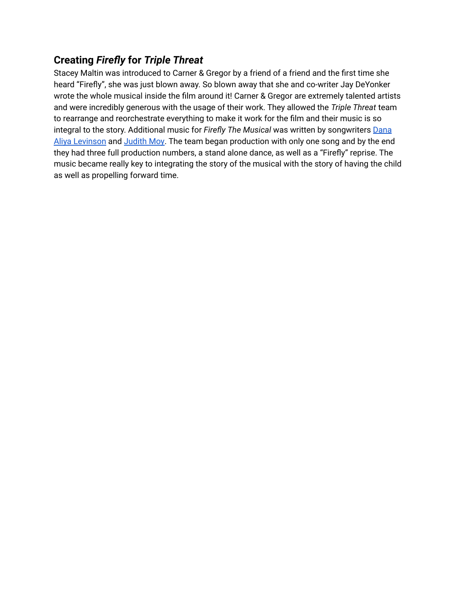# **Creating** *Firefly* **for** *Triple Threat*

Stacey Maltin was introduced to Carner & Gregor by a friend of a friend and the first time she heard "Firefly", she was just blown away. So blown away that she and co-writer Jay DeYonker wrote the whole musical inside the film around it! Carner & Gregor are extremely talented artists and were incredibly generous with the usage of their work. They allowed the *Triple Threat* team to rearrange and reorchestrate everything to make it work for the film and their music is so integral to the story. Additional music for *Firefly The Musical* was written by songwriters [Dana](https://www.danaaliyalevinson.com/) Aliya [Levinson](https://www.danaaliyalevinson.com/) and [Judith](http://imdb.com/title/tt4764490) Moy. The team began production with only one song and by the end they had three full production numbers, a stand alone dance, as well as a "Firefly" reprise. The music became really key to integrating the story of the musical with the story of having the child as well as propelling forward time.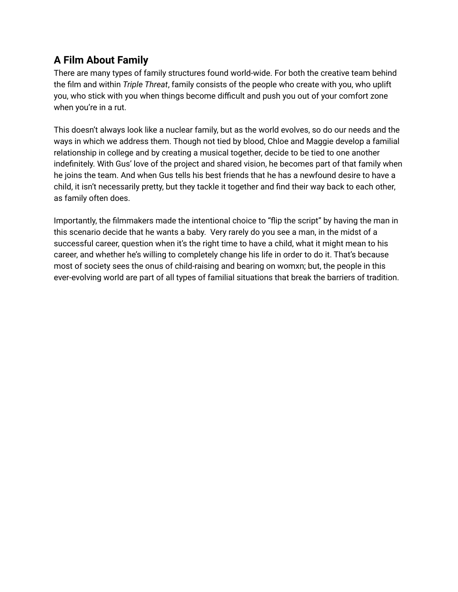# **A Film About Family**

There are many types of family structures found world-wide. For both the creative team behind the film and within *Triple Threat*, family consists of the people who create with you, who uplift you, who stick with you when things become difficult and push you out of your comfort zone when you're in a rut.

This doesn't always look like a nuclear family, but as the world evolves, so do our needs and the ways in which we address them. Though not tied by blood, Chloe and Maggie develop a familial relationship in college and by creating a musical together, decide to be tied to one another indefinitely. With Gus' love of the project and shared vision, he becomes part of that family when he joins the team. And when Gus tells his best friends that he has a newfound desire to have a child, it isn't necessarily pretty, but they tackle it together and find their way back to each other, as family often does.

Importantly, the filmmakers made the intentional choice to "flip the script" by having the man in this scenario decide that he wants a baby. Very rarely do you see a man, in the midst of a successful career, question when it's the right time to have a child, what it might mean to his career, and whether he's willing to completely change his life in order to do it. That's because most of society sees the onus of child-raising and bearing on womxn; but, the people in this ever-evolving world are part of all types of familial situations that break the barriers of tradition.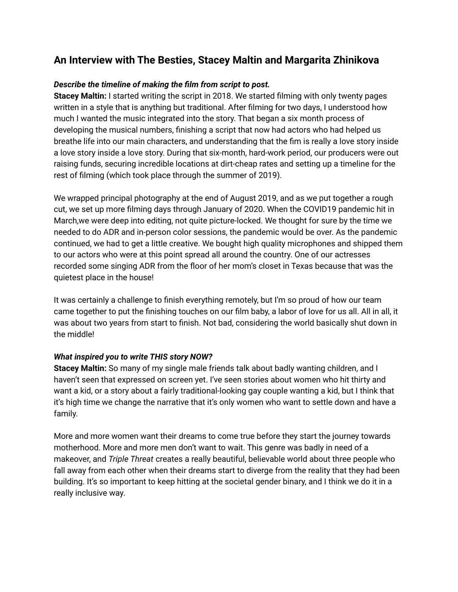## **An Interview with The Besties, Stacey Maltin and Margarita Zhinikova**

### *Describe the timeline of making the film from script to post.*

**Stacey Maltin:** I started writing the script in 2018. We started filming with only twenty pages written in a style that is anything but traditional. After filming for two days, I understood how much I wanted the music integrated into the story. That began a six month process of developing the musical numbers, finishing a script that now had actors who had helped us breathe life into our main characters, and understanding that the fim is really a love story inside a love story inside a love story. During that six-month, hard-work period, our producers were out raising funds, securing incredible locations at dirt-cheap rates and setting up a timeline for the rest of filming (which took place through the summer of 2019).

We wrapped principal photography at the end of August 2019, and as we put together a rough cut, we set up more filming days through January of 2020. When the COVID19 pandemic hit in March,we were deep into editing, not quite picture-locked. We thought for sure by the time we needed to do ADR and in-person color sessions, the pandemic would be over. As the pandemic continued, we had to get a little creative. We bought high quality microphones and shipped them to our actors who were at this point spread all around the country. One of our actresses recorded some singing ADR from the floor of her mom's closet in Texas because that was the quietest place in the house!

It was certainly a challenge to finish everything remotely, but I'm so proud of how our team came together to put the finishing touches on our film baby, a labor of love for us all. All in all, it was about two years from start to finish. Not bad, considering the world basically shut down in the middle!

### *What inspired you to write THIS story NOW?*

**Stacey Maltin:** So many of my single male friends talk about badly wanting children, and I haven't seen that expressed on screen yet. I've seen stories about women who hit thirty and want a kid, or a story about a fairly traditional-looking gay couple wanting a kid, but I think that it's high time we change the narrative that it's only women who want to settle down and have a family.

More and more women want their dreams to come true before they start the journey towards motherhood. More and more men don't want to wait. This genre was badly in need of a makeover, and *Triple Threat* creates a really beautiful, believable world about three people who fall away from each other when their dreams start to diverge from the reality that they had been building. It's so important to keep hitting at the societal gender binary, and I think we do it in a really inclusive way.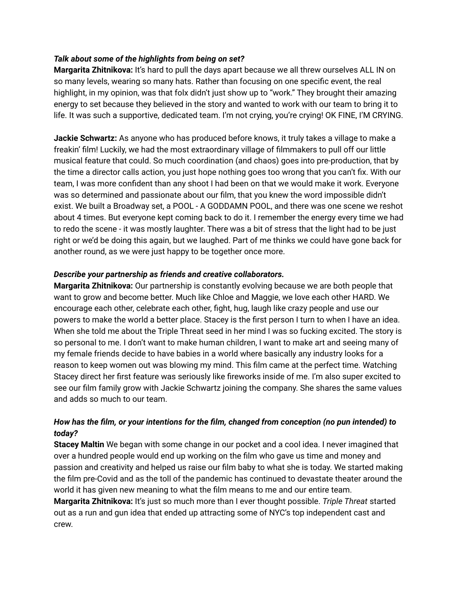#### *Talk about some of the highlights from being on set?*

**Margarita Zhitnikova:** It's hard to pull the days apart because we all threw ourselves ALL IN on so many levels, wearing so many hats. Rather than focusing on one specific event, the real highlight, in my opinion, was that folx didn't just show up to "work." They brought their amazing energy to set because they believed in the story and wanted to work with our team to bring it to life. It was such a supportive, dedicated team. I'm not crying, you're crying! OK FINE, I'M CRYING.

**Jackie Schwartz:** As anyone who has produced before knows, it truly takes a village to make a freakin' film! Luckily, we had the most extraordinary village of filmmakers to pull off our little musical feature that could. So much coordination (and chaos) goes into pre-production, that by the time a director calls action, you just hope nothing goes too wrong that you can't fix. With our team, I was more confident than any shoot I had been on that we would make it work. Everyone was so determined and passionate about our film, that you knew the word impossible didn't exist. We built a Broadway set, a POOL - A GODDAMN POOL, and there was one scene we reshot about 4 times. But everyone kept coming back to do it. I remember the energy every time we had to redo the scene - it was mostly laughter. There was a bit of stress that the light had to be just right or we'd be doing this again, but we laughed. Part of me thinks we could have gone back for another round, as we were just happy to be together once more.

#### *Describe your partnership as friends and creative collaborators.*

**Margarita Zhitnikova:** Our partnership is constantly evolving because we are both people that want to grow and become better. Much like Chloe and Maggie, we love each other HARD. We encourage each other, celebrate each other, fight, hug, laugh like crazy people and use our powers to make the world a better place. Stacey is the first person I turn to when I have an idea. When she told me about the Triple Threat seed in her mind I was so fucking excited. The story is so personal to me. I don't want to make human children, I want to make art and seeing many of my female friends decide to have babies in a world where basically any industry looks for a reason to keep women out was blowing my mind. This film came at the perfect time. Watching Stacey direct her first feature was seriously like fireworks inside of me. I'm also super excited to see our film family grow with Jackie Schwartz joining the company. She shares the same values and adds so much to our team.

### *How has the film, or your intentions for the film, changed from conception (no pun intended) to today?*

**Stacey Maltin** We began with some change in our pocket and a cool idea. I never imagined that over a hundred people would end up working on the film who gave us time and money and passion and creativity and helped us raise our film baby to what she is today. We started making the film pre-Covid and as the toll of the pandemic has continued to devastate theater around the world it has given new meaning to what the film means to me and our entire team.

**Margarita Zhitnikova:** It's just so much more than I ever thought possible. *Triple Threat* started out as a run and gun idea that ended up attracting some of NYC's top independent cast and crew.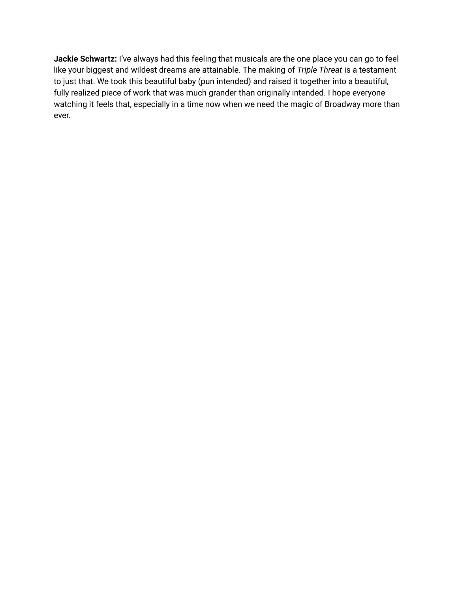**Jackie Schwartz:** I've always had this feeling that musicals are the one place you can go to feel like your biggest and wildest dreams are attainable. The making of *Triple Threat* is a testament to just that. We took this beautiful baby (pun intended) and raised it together into a beautiful, fully realized piece of work that was much grander than originally intended. I hope everyone watching it feels that, especially in a time now when we need the magic of Broadway more than ever.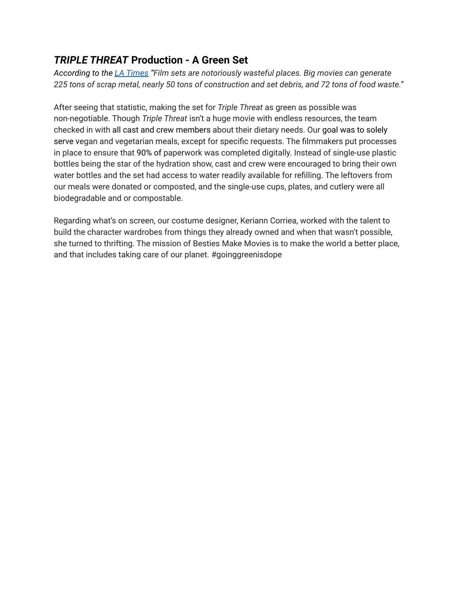## *TRIPLE THREAT* **Production - A Green Set**

*According to the LA [Times](https://www.latimes.com/business/la-fi-ct-onlocation-20140731-story.html#:~:text=Film%20sets%20are%20notoriously%20wasteful,72%20tons%20of%20food%20waste.) "Film sets are notoriously wasteful places. Big movies can generate* 225 tons of scrap metal, nearly 50 tons of construction and set debris, and 72 tons of food waste."

After seeing that statistic, making the set for *Triple Threat* as green as possible was non-negotiable. Though *Triple Threat* isn't a huge movie with endless resources, the team checked in with all cast and crew members about their dietary needs. Our goal was to solely serve vegan and vegetarian meals, except for specific requests. The filmmakers put processes in place to ensure that 90% of paperwork was completed digitally. Instead of single-use plastic bottles being the star of the hydration show, cast and crew were encouraged to bring their own water bottles and the set had access to water readily available for refilling. The leftovers from our meals were donated or composted, and the single-use cups, plates, and cutlery were all biodegradable and or compostable.

Regarding what's on screen, our costume designer, Keriann Corriea, worked with the talent to build the character wardrobes from things they already owned and when that wasn't possible, she turned to thrifting. The mission of Besties Make Movies is to make the world a better place, and that includes taking care of our planet. #goinggreenisdope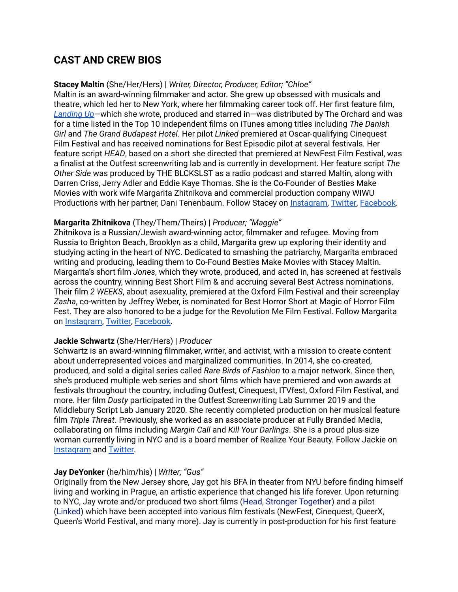## **CAST AND CREW BIOS**

#### **Stacey Maltin** (She/Her/Hers) | *Writer, Director, Producer, Editor; "Chloe"*

Maltin is an award-winning filmmaker and actor. She grew up obsessed with musicals and theatre, which led her to New York, where her filmmaking career took off. Her first feature film, *[Landing](http://imdb.com/title/tt4764490) Up—*which she wrote, produced and starred in—was distributed by The Orchard and was for a time listed in the Top 10 independent films on iTunes among titles including *The Danish Girl* and *The Grand Budapest Hotel*. Her pilot *Linked* premiered at Oscar-qualifying Cinequest Film Festival and has received nominations for Best Episodic pilot at several festivals. Her feature script *HEAD*, based on a short she directed that premiered at NewFest Film Festival, was a finalist at the Outfest screenwriting lab and is currently in development. Her feature script *The Other Side* was produced by THE BLCKSLST as a radio podcast and starred Maltin, along with Darren Criss, Jerry Adler and Eddie Kaye Thomas. She is the Co-Founder of Besties Make Movies with work wife Margarita Zhitnikova and commercial production company WIWU Productions with her partner, Dani Tenenbaum. Follow Stacey on [Instagram,](http://www.instagram.com/staceymaltin) [Twitter,](http://www.instagram.com/staceymaltin) [Facebook](https://www.facebook.com/StaceyMaltin).

#### **Margarita Zhitnikova** (They/Them/Theirs) | *Producer; "Maggie"*

Zhitnikova is a Russian/Jewish award-winning actor, filmmaker and refugee. Moving from Russia to Brighton Beach, Brooklyn as a child, Margarita grew up exploring their identity and studying acting in the heart of NYC. Dedicated to smashing the patriarchy, Margarita embraced writing and producing, leading them to Co-Found Besties Make Movies with Stacey Maltin. Margarita's short film *Jones*, which they wrote, produced, and acted in, has screened at festivals across the country, winning Best Short Film & and accruing several Best Actress nominations. Their film *2 WEEKS*, about asexuality, premiered at the Oxford Film Festival and their screenplay *Zasha*, co-written by Jeffrey Weber, is nominated for Best Horror Short at Magic of Horror Film Fest. They are also honored to be a judge for the Revolution Me Film Festival. Follow Margarita on [Instagram,](http://www.instagram.com/marzapproved) [Twitter](http://www.twitter.com/marzapproved), [Facebook](https://www.facebook.com/MarzyGotYourHart).

#### **Jackie Schwartz** (She/Her/Hers) | *Producer*

Schwartz is an award-winning filmmaker, writer, and activist, with a mission to create content about underrepresented voices and marginalized communities. In 2014, she co-created, produced, and sold a digital series called *Rare Birds of Fashion* to a major network. Since then, she's produced multiple web series and short films which have premiered and won awards at festivals throughout the country, including Outfest, Cinequest, ITVfest, Oxford Film Festival, and more. Her film *Dusty* participated in the Outfest Screenwriting Lab Summer 2019 and the Middlebury Script Lab January 2020. She recently completed production on her musical feature film *Triple Threat*. Previously, she worked as an associate producer at Fully Branded Media, collaborating on films including *Margin Call* and *Kill Your Darlings*. She is a proud plus-size woman currently living in NYC and is a board member of Realize Your Beauty. Follow Jackie on [Instagram](https://www.instagram.com/jschwartz00/) and [Twitter](https://twitter.com/JSchwartz00)**.**

#### **Jay DeYonker** (he/him/his) | *Writer; "Gus"*

Originally from the New Jersey shore, Jay got his BFA in theater from NYU before finding himself living and working in Prague, an artistic experience that changed his life forever. Upon returning to NYC, Jay wrote and/or produced two short films ([Head,](https://vimeo.com/192174704) Stronger [Together](https://www.amazon.com/Stronger-Together-Stacey-Maltin/dp/B07SZ52KHR)) and a pilot ([Linked\)](https://vimeo.com/283099457) which have been accepted into various film festivals (NewFest, Cinequest, QueerX, Queen's World Festival, and many more). Jay is currently in post-production for his first feature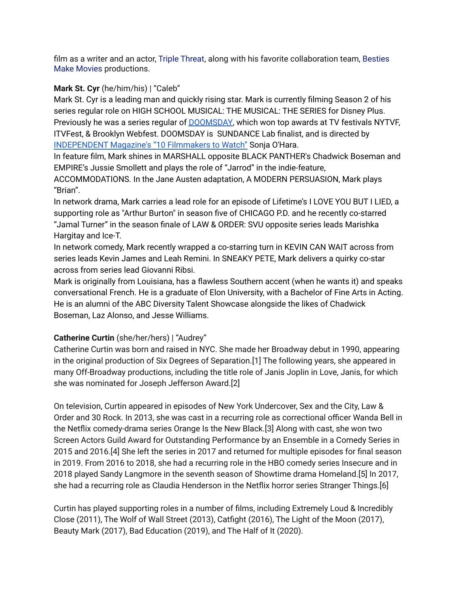film as a writer and an actor, Triple [Threat](https://www.imdb.com/title/tt9233514/?ref_=nm_flmg_act_6), along with his favorite collaboration team, [Besties](http://www.bestiesmakemovies.com/) Make [Movies](http://www.bestiesmakemovies.com/) productions.

### **Mark St. Cyr** (he/him/his) | "Caleb"

Mark St. Cyr is a leading man and quickly rising star. Mark is currently filming Season 2 of his series regular role on HIGH SCHOOL MUSICAL: THE MUSICAL: THE SERIES for Disney Plus. Previously he was a series regular of **[DOOMSDAY](http://www.doomsday-series.com/)**, which won top awards at TV festivals NYTVF, ITVFest, & Brooklyn Webfest. DOOMSDAY is SUNDANCE Lab finalist, and is directed b[y](http://independent-magazine.org/2017/06/10-filmmakers-watch-2017-sonja-ohara-jaspal-binning/) [INDEPENDENT](http://independent-magazine.org/2017/06/10-filmmakers-watch-2017-sonja-ohara-jaspal-binning/) Magazine's "10 Filmmakers to Watch" Sonja O'Hara.

In feature film, Mark shines in MARSHALL opposite BLACK PANTHER's Chadwick Boseman and EMPIRE's Jussie Smollett and plays the role of "Jarrod" in the indie-feature,

ACCOMMODATIONS. In the Jane Austen adaptation, A MODERN PERSUASION, Mark plays "Brian".

In network drama, Mark carries a lead role for an episode of Lifetime's I LOVE YOU BUT I LIED, a supporting role as "Arthur Burton" in season five of CHICAGO P.D. and he recently co-starred "Jamal Turner" in the season finale of LAW & ORDER: SVU opposite series leads Marishka Hargitay and Ice-T.

In network comedy, Mark recently wrapped a co-starring turn in KEVIN CAN WAIT across from series leads Kevin James and Leah Remini. In SNEAKY PETE, Mark delivers a quirky co-star across from series lead Giovanni Ribsi.

Mark is originally from Louisiana, has a flawless Southern accent (when he wants it) and speaks conversational French. He is a graduate of Elon University, with a Bachelor of Fine Arts in Acting. He is an alumni of the ABC Diversity Talent Showcase alongside the likes of Chadwick Boseman, Laz Alonso, and Jesse Williams.

## **Catherine Curtin** (she/her/hers) | "Audrey"

Catherine Curtin was born and raised in NYC. She made her Broadway debut in 1990, appearing in the original production of Six Degrees of Separation.[1] The following years, she appeared in many Off-Broadway productions, including the title role of Janis Joplin in Love, Janis, for which she was nominated for Joseph Jefferson Award.[2]

On television, Curtin appeared in episodes of New York Undercover, Sex and the City, Law & Order and 30 Rock. In 2013, she was cast in a recurring role as correctional officer Wanda Bell in the Netflix comedy-drama series Orange Is the New Black.[3] Along with cast, she won two Screen Actors Guild Award for Outstanding Performance by an Ensemble in a Comedy Series in 2015 and 2016.[4] She left the series in 2017 and returned for multiple episodes for final season in 2019. From 2016 to 2018, she had a recurring role in the HBO comedy series Insecure and in 2018 played Sandy Langmore in the seventh season of Showtime drama Homeland.[5] In 2017, she had a recurring role as Claudia Henderson in the Netflix horror series Stranger Things.[6]

Curtin has played supporting roles in a number of films, including Extremely Loud & Incredibly Close (2011), The Wolf of Wall Street (2013), Catfight (2016), The Light of the Moon (2017), Beauty Mark (2017), Bad Education (2019), and The Half of It (2020).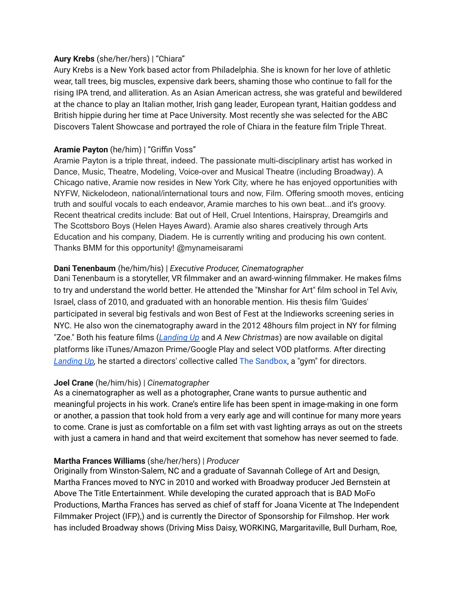#### **Aury Krebs** (she/her/hers) | "Chiara"

Aury Krebs is a New York based actor from Philadelphia. She is known for her love of athletic wear, tall trees, big muscles, expensive dark beers, shaming those who continue to fall for the rising IPA trend, and alliteration. As an Asian American actress, she was grateful and bewildered at the chance to play an Italian mother, Irish gang leader, European tyrant, Haitian goddess and British hippie during her time at Pace University. Most recently she was selected for the ABC Discovers Talent Showcase and portrayed the role of Chiara in the feature film Triple Threat.

### **Aramie Payton** (he/him) | "Griffin Voss"

Aramie Payton is a triple threat, indeed. The passionate multi-disciplinary artist has worked in Dance, Music, Theatre, Modeling, Voice-over and Musical Theatre (including Broadway). A Chicago native, Aramie now resides in New York City, where he has enjoyed opportunities with NYFW, Nickelodeon, national/international tours and now, Film. Offering smooth moves, enticing truth and soulful vocals to each endeavor, Aramie marches to his own beat...and it's groovy. Recent theatrical credits include: Bat out of Hell, Cruel Intentions, Hairspray, Dreamgirls and The Scottsboro Boys (Helen Hayes Award). Aramie also shares creatively through Arts Education and his company, Diadem. He is currently writing and producing his own content. Thanks BMM for this opportunity! @mynameisarami

### **Dani Tenenbaum** (he/him/his) | *Executive Producer, Cinematographer*

Dani Tenenbaum is a storyteller, VR filmmaker and an award-winning filmmaker. He makes films to try and understand the world better. He attended the "Minshar for Art" film school in Tel Aviv, Israel, class of 2010, and graduated with an honorable mention. His thesis film 'Guides' participated in several big festivals and won Best of Fest at the Indieworks screening series in NYC. He also won the cinematography award in the 2012 48hours film project in NY for filming "Zoe." Both his feature films (*[Landing](http://imdb.com/title/tt4764490) Up* and *A New Christmas*) are now available on digital platforms like iTunes/Amazon Prime/Google Play and select VOD platforms. After directing *[Landing](http://imdb.com/title/tt4764490) Up,* he started a directors' collective called The [Sandbox](http://www.thefilmshop.org/the-sandbox/), a "gym" for directors.

### **Joel Crane** (he/him/his) | *Cinematographer*

As a cinematographer as well as a photographer, Crane wants to pursue authentic and meaningful projects in his work. Crane's entire life has been spent in image-making in one form or another, a passion that took hold from a very early age and will continue for many more years to come. Crane is just as comfortable on a film set with vast lighting arrays as out on the streets with just a camera in hand and that weird excitement that somehow has never seemed to fade.

### **Martha Frances Williams** (she/her/hers) | *Producer*

Originally from Winston-Salem, NC and a graduate of Savannah College of Art and Design, Martha Frances moved to NYC in 2010 and worked with Broadway producer Jed Bernstein at Above The Title Entertainment. While developing the curated approach that is BAD MoFo Productions, Martha Frances has served as chief of staff for Joana Vicente at The Independent Filmmaker Project (IFP),) and is currently the Director of Sponsorship for Filmshop. Her work has included Broadway shows (Driving Miss Daisy, WORKING, Margaritaville, Bull Durham, Roe,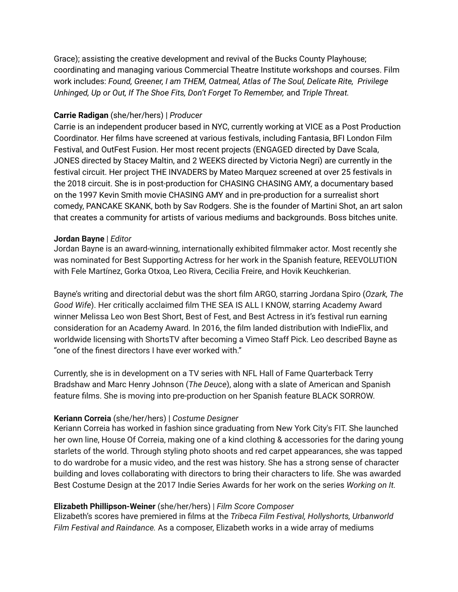Grace); assisting the creative development and revival of the Bucks County Playhouse; coordinating and managing various Commercial Theatre Institute workshops and courses. Film work includes: *Found, Greener, I am THEM, Oatmeal, Atlas of The Soul, Delicate Rite, Privilege Unhinged, Up or Out, If The Shoe Fits, Don't Forget To Remember,* and *Triple Threat.*

#### **Carrie Radigan** (she/her/hers) | *Producer*

Carrie is an independent producer based in NYC, currently working at VICE as a Post Production Coordinator. Her films have screened at various festivals, including Fantasia, BFI London Film Festival, and OutFest Fusion. Her most recent projects (ENGAGED directed by Dave Scala, JONES directed by Stacey Maltin, and 2 WEEKS directed by Victoria Negri) are currently in the festival circuit. Her project THE INVADERS by Mateo Marquez screened at over 25 festivals in the 2018 circuit. She is in post-production for CHASING CHASING AMY, a documentary based on the 1997 Kevin Smith movie CHASING AMY and in pre-production for a surrealist short comedy, PANCAKE SKANK, both by Sav Rodgers. She is the founder of Martini Shot, an art salon that creates a community for artists of various mediums and backgrounds. Boss bitches unite.

#### **Jordan Bayne** | *Editor*

Jordan Bayne is an award-winning, internationally exhibited filmmaker actor. Most recently she was nominated for Best Supporting Actress for her work in the Spanish feature, REEVOLUTION with Fele Martínez, Gorka Otxoa, Leo Rivera, Cecilia Freire, and Hovik Keuchkerian.

Bayne's writing and directorial debut was the short film ARGO, starring Jordana Spiro (*Ozark, The Good Wife*). Her critically acclaimed film THE SEA IS ALL I KNOW, starring Academy Award winner Melissa Leo won Best Short, Best of Fest, and Best Actress in it's festival run earning consideration for an Academy Award. In 2016, the film landed distribution with IndieFlix, and worldwide licensing with ShortsTV after becoming a Vimeo Staff Pick. Leo described Bayne as "one of the finest directors I have ever worked with."

Currently, she is in development on a TV series with NFL Hall of Fame Quarterback Terry Bradshaw and Marc Henry Johnson (*The Deuce*), along with a slate of American and Spanish feature films. She is moving into pre-production on her Spanish feature BLACK SORROW.

#### **Keriann Correia** (she/her/hers) | *Costume Designer*

Keriann Correia has worked in fashion since graduating from New York City's FIT. She launched her own line, House Of Correia, making one of a kind clothing & accessories for the daring young starlets of the world. Through styling photo shoots and red carpet appearances, she was tapped to do wardrobe for a music video, and the rest was history. She has a strong sense of character building and loves collaborating with directors to bring their characters to life. She was awarded Best Costume Design at the 2017 Indie Series Awards for her work on the series *Working on It.*

#### **Elizabeth Phillipson-Weiner** (she/her/hers) | *Film Score Composer*

Elizabeth's scores have premiered in films at the *Tribeca Film Festival, Hollyshorts, Urbanworld Film Festival and Raindance.* As a composer, Elizabeth works in a wide array of mediums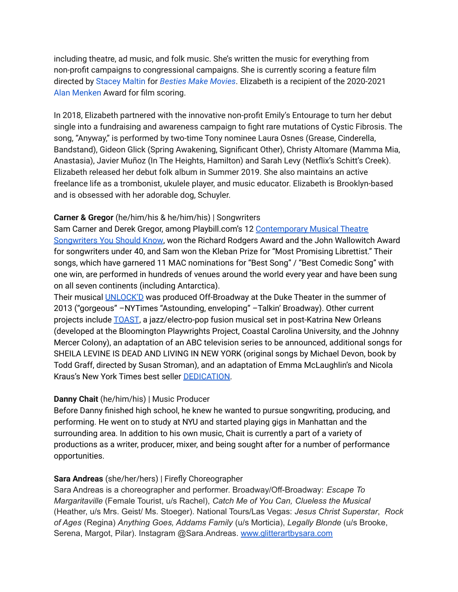including theatre, ad music, and folk music. She's written the music for everything from non-profit campaigns to congressional campaigns. She is currently scoring a feature film directed by [Stacey](https://www.staceylmaltin.com/) Maltin for *[Besties](https://www.bestiesmakemovies.com/) Make Movies*. Elizabeth is a recipient of the 2020-2021 Alan [Menken](https://www.alanmenken.com/) Award for film scoring.

In 2018, Elizabeth partnered with the innovative non-profit Emily's Entourage to turn her debut single into a fundraising and awareness campaign to fight rare mutations of Cystic Fibrosis. The song, "Anyway," is performed by two-time Tony nominee Laura Osnes (Grease, Cinderella, Bandstand), Gideon Glick (Spring Awakening, Significant Other), Christy Altomare (Mamma Mia, Anastasia), Javier Muñoz (In The Heights, Hamilton) and Sarah Levy (Netflix's Schitt's Creek). Elizabeth released her debut folk album in Summer 2019. She also maintains an active freelance life as a trombonist, ukulele player, and music educator. Elizabeth is Brooklyn-based and is obsessed with her adorable dog, Schuyler.

#### **Carner & Gregor** (he/him/his & he/him/his) | Songwriters

Sam Carner and Derek Gregor, among Playbill.com's 12 [Contemporary](http://www.playbill.com/features/article/playbill-picks-the-contemporary-musical-theatre-songwriters-you-should-198768) Musical Theatre [Songwriters](http://www.playbill.com/features/article/playbill-picks-the-contemporary-musical-theatre-songwriters-you-should-198768) You Should Know, won the Richard Rodgers Award and the John Wallowitch Award for songwriters under 40, and Sam won the Kleban Prize for "Most Promising Librettist." Their songs, which have garnered 11 MAC nominations for "Best Song" / "Best Comedic Song" with one win, are performed in hundreds of venues around the world every year and have been sung on all seven continents (including Antarctica).

Their musical [UNLOCK'D](http://www.carnerandgregor.com/unlockd/) was produced Off-Broadway at the Duke Theater in the summer of 2013 ("gorgeous" –NYTimes "Astounding, enveloping" –Talkin' Broadway). Other current projects include [TOAST](https://carnerandgregor.com/project/toast/), a jazz/electro-pop fusion musical set in post-Katrina New Orleans (developed at the Bloomington Playwrights Project, Coastal Carolina University, and the Johnny Mercer Colony), an adaptation of an ABC television series to be announced, additional songs for SHEILA LEVINE IS DEAD AND LIVING IN NEW YORK (original songs by Michael Devon, book by Todd Graff, directed by Susan Stroman), and an adaptation of Emma McLaughlin's and Nicola Kraus's New York Times best seller [DEDICATION.](http://www.simonandschuster.com/books/Dedication/Emma-McLaughlin/9781416540144)

### **Danny Chait** (he/him/his) | Music Producer

Before Danny finished high school, he knew he wanted to pursue songwriting, producing, and performing. He went on to study at NYU and started playing gigs in Manhattan and the surrounding area. In addition to his own music, Chait is currently a part of a variety of productions as a writer, producer, mixer, and being sought after for a number of performance opportunities.

#### **Sara Andreas** (she/her/hers) | Firefly Choreographer

Sara Andreas is a choreographer and performer. Broadway/Off-Broadway: *Escape To Margaritaville* (Female Tourist, u/s Rachel), *Catch Me of You Can, Clueless the Musical* (Heather, u/s Mrs. Geist/ Ms. Stoeger). National Tours/Las Vegas: *Jesus Christ Superstar*, *Rock of Ages* (Regina) *Anything Goes, Addams Family* (u/s Morticia), *Legally Blonde* (u/s Brooke, Serena, Margot, Pilar). Instagram @Sara.Andreas. [www.glitterartbysara.com](http://www.glitterartbysara.com/)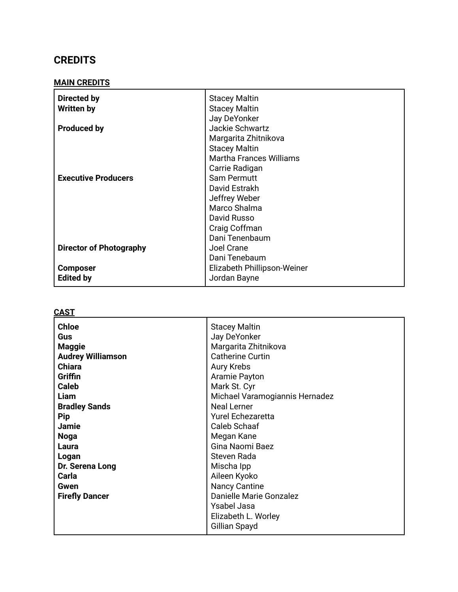# **CREDITS**

### **MAIN CREDITS**

| Directed by<br><b>Written by</b> | <b>Stacey Maltin</b><br><b>Stacey Maltin</b>           |
|----------------------------------|--------------------------------------------------------|
| <b>Produced by</b>               | Jay DeYonker<br>Jackie Schwartz                        |
|                                  | Margarita Zhitnikova                                   |
|                                  | <b>Stacey Maltin</b><br><b>Martha Frances Williams</b> |
|                                  | Carrie Radigan                                         |
| <b>Executive Producers</b>       | <b>Sam Permutt</b>                                     |
|                                  | David Estrakh                                          |
|                                  | Jeffrey Weber                                          |
|                                  | Marco Shalma                                           |
|                                  | David Russo                                            |
|                                  | Craig Coffman                                          |
|                                  | Dani Tenenbaum                                         |
| <b>Director of Photography</b>   | Joel Crane                                             |
|                                  | Dani Tenebaum                                          |
| <b>Composer</b>                  | Elizabeth Phillipson-Weiner                            |
| <b>Edited by</b>                 | Jordan Bayne                                           |

#### **CAST**

| <b>Chloe</b><br>Gus<br><b>Maggie</b><br><b>Audrey Williamson</b><br><b>Chiara</b><br>Griffin<br><b>Caleb</b><br>Liam<br><b>Bradley Sands</b> | <b>Stacey Maltin</b><br>Jay DeYonker<br>Margarita Zhitnikova<br><b>Catherine Curtin</b><br>Aury Krebs<br>Aramie Payton<br>Mark St. Cyr<br>Michael Varamogiannis Hernadez<br><b>Neal Lerner</b> |
|----------------------------------------------------------------------------------------------------------------------------------------------|------------------------------------------------------------------------------------------------------------------------------------------------------------------------------------------------|
| <b>Pip</b><br><b>Jamie</b>                                                                                                                   | <b>Yurel Echezaretta</b><br>Caleb Schaaf                                                                                                                                                       |
| <b>Noga</b>                                                                                                                                  | Megan Kane                                                                                                                                                                                     |
| Laura                                                                                                                                        | Gina Naomi Baez                                                                                                                                                                                |
| Logan                                                                                                                                        | Steven Rada                                                                                                                                                                                    |
| Dr. Serena Long                                                                                                                              | Mischa Ipp                                                                                                                                                                                     |
| Carla                                                                                                                                        | Aileen Kyoko                                                                                                                                                                                   |
| Gwen                                                                                                                                         | <b>Nancy Cantine</b>                                                                                                                                                                           |
| <b>Firefly Dancer</b>                                                                                                                        | Danielle Marie Gonzalez                                                                                                                                                                        |
|                                                                                                                                              | <b>Ysabel Jasa</b>                                                                                                                                                                             |
|                                                                                                                                              | Elizabeth L. Worley                                                                                                                                                                            |
|                                                                                                                                              | Gillian Spayd                                                                                                                                                                                  |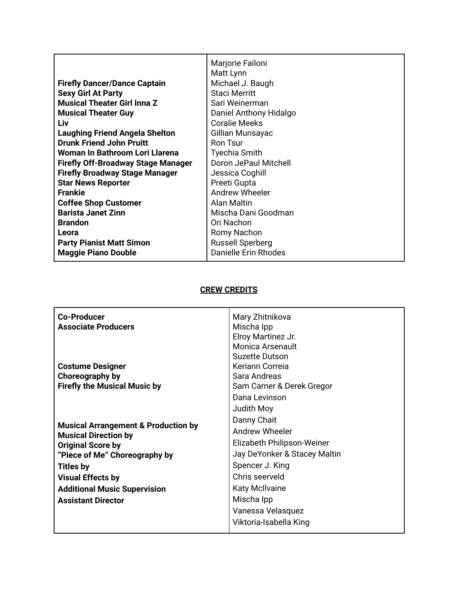|                                           | Marjorie Failoni        |
|-------------------------------------------|-------------------------|
|                                           | Matt Lynn               |
| <b>Firefly Dancer/Dance Captain</b>       | Michael J. Baugh        |
| <b>Sexy Girl At Party</b>                 | <b>Staci Merritt</b>    |
| <b>Musical Theater Girl Inna Z</b>        | Sari Weinerman          |
| <b>Musical Theater Guy</b>                | Daniel Anthony Hidalgo  |
| Liv                                       | <b>Coralie Meeks</b>    |
| <b>Laughing Friend Angela Shelton</b>     | Gillian Munsayac        |
| <b>Drunk Friend John Pruitt</b>           | Ron Tsur                |
| Woman In Bathroom Lori Llarena            | Tyechia Smith           |
| <b>Firefly Off-Broadway Stage Manager</b> | Doron JePaul Mitchell   |
| <b>Firefly Broadway Stage Manager</b>     | Jessica Coghill         |
| <b>Star News Reporter</b>                 | Preeti Gupta            |
| <b>Frankie</b>                            | <b>Andrew Wheeler</b>   |
| <b>Coffee Shop Customer</b>               | Alan Maltin             |
| <b>Barista Janet Zinn</b>                 | Mischa Dani Goodman     |
| <b>Brandon</b>                            | Ori Nachon              |
| Leora                                     | Romy Nachon             |
| <b>Party Pianist Matt Simon</b>           | <b>Russell Sperberg</b> |
| <b>Maggie Piano Double</b>                | Danielle Erin Rhodes    |

## **CREW CREDITS**

| <b>Co-Producer</b><br><b>Associate Producers</b>                              | Mary Zhitnikova<br>Mischa Ipp<br>Elroy Martinez Jr.<br>Monica Arsenault<br>Suzette Dutson |
|-------------------------------------------------------------------------------|-------------------------------------------------------------------------------------------|
| <b>Costume Designer</b>                                                       | Keriann Correia                                                                           |
| Choreography by                                                               | Sara Andreas                                                                              |
| <b>Firefly the Musical Music by</b>                                           | Sam Carner & Derek Gregor                                                                 |
|                                                                               | Dana Levinson                                                                             |
|                                                                               | Judith Moy                                                                                |
|                                                                               | Danny Chait                                                                               |
| <b>Musical Arrangement &amp; Production by</b><br><b>Musical Direction by</b> | Andrew Wheeler                                                                            |
| <b>Original Score by</b>                                                      | Elizabeth Philipson-Weiner                                                                |
| "Piece of Me" Choreography by                                                 | Jay DeYonker & Stacey Maltin                                                              |
| <b>Titles by</b>                                                              | Spencer J. King                                                                           |
| <b>Visual Effects by</b>                                                      | Chris seerveld                                                                            |
| <b>Additional Music Supervision</b>                                           | <b>Katy McIlvaine</b>                                                                     |
| <b>Assistant Director</b>                                                     | Mischa Ipp                                                                                |
|                                                                               | Vanessa Velasquez                                                                         |
|                                                                               | Viktoria-Isabella King                                                                    |
|                                                                               |                                                                                           |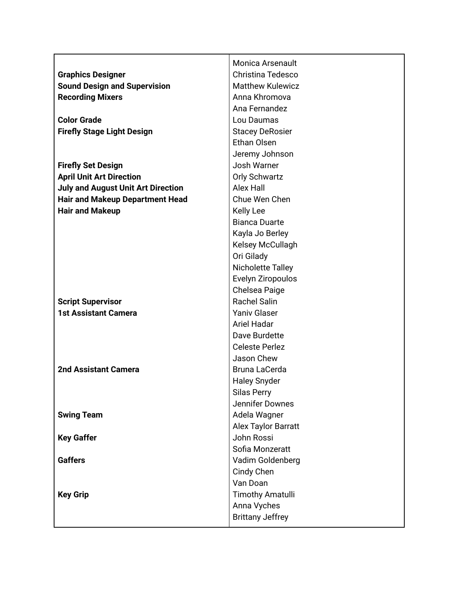|                                           | Monica Arsenault         |
|-------------------------------------------|--------------------------|
| <b>Graphics Designer</b>                  | <b>Christina Tedesco</b> |
| <b>Sound Design and Supervision</b>       | <b>Matthew Kulewicz</b>  |
| <b>Recording Mixers</b>                   | Anna Khromova            |
|                                           | Ana Fernandez            |
| <b>Color Grade</b>                        | Lou Daumas               |
| <b>Firefly Stage Light Design</b>         | <b>Stacey DeRosier</b>   |
|                                           | Ethan Olsen              |
|                                           | Jeremy Johnson           |
| <b>Firefly Set Design</b>                 | Josh Warner              |
| <b>April Unit Art Direction</b>           | <b>Orly Schwartz</b>     |
| <b>July and August Unit Art Direction</b> | Alex Hall                |
| <b>Hair and Makeup Department Head</b>    | Chue Wen Chen            |
| <b>Hair and Makeup</b>                    | <b>Kelly Lee</b>         |
|                                           | <b>Bianca Duarte</b>     |
|                                           | Kayla Jo Berley          |
|                                           | Kelsey McCullagh         |
|                                           | Ori Gilady               |
|                                           | Nicholette Talley        |
|                                           | Evelyn Ziropoulos        |
|                                           | Chelsea Paige            |
| <b>Script Supervisor</b>                  | <b>Rachel Salin</b>      |
| <b>1st Assistant Camera</b>               | <b>Yaniv Glaser</b>      |
|                                           | <b>Ariel Hadar</b>       |
|                                           | Dave Burdette            |
|                                           | <b>Celeste Perlez</b>    |
|                                           | Jason Chew               |
| <b>2nd Assistant Camera</b>               | Bruna LaCerda            |
|                                           | <b>Haley Snyder</b>      |
|                                           | Silas Perry              |
|                                           | Jennifer Downes          |
| <b>Swing Team</b>                         | Adela Wagner             |
|                                           | Alex Taylor Barratt      |
| <b>Key Gaffer</b>                         | John Rossi               |
|                                           | Sofia Monzeratt          |
| <b>Gaffers</b>                            | Vadim Goldenberg         |
|                                           | Cindy Chen               |
|                                           | Van Doan                 |
| <b>Key Grip</b>                           | <b>Timothy Amatulli</b>  |
|                                           | Anna Vyches              |
|                                           | <b>Brittany Jeffrey</b>  |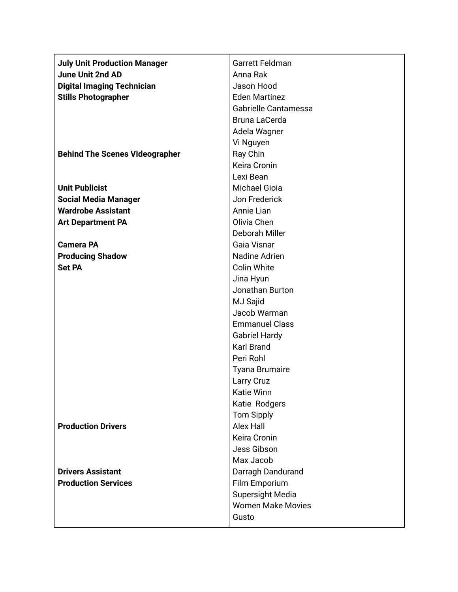| <b>July Unit Production Manager</b>   | Garrett Feldman          |
|---------------------------------------|--------------------------|
| <b>June Unit 2nd AD</b>               | Anna Rak                 |
| <b>Digital Imaging Technician</b>     | Jason Hood               |
| <b>Stills Photographer</b>            | <b>Eden Martinez</b>     |
|                                       | Gabrielle Cantamessa     |
|                                       | Bruna LaCerda            |
|                                       | Adela Wagner             |
|                                       | Vi Nguyen                |
| <b>Behind The Scenes Videographer</b> | Ray Chin                 |
|                                       | Keira Cronin             |
|                                       | Lexi Bean                |
| <b>Unit Publicist</b>                 | <b>Michael Gioia</b>     |
| <b>Social Media Manager</b>           | Jon Frederick            |
| <b>Wardrobe Assistant</b>             | Annie Lian               |
| <b>Art Department PA</b>              | Olivia Chen              |
|                                       | Deborah Miller           |
| <b>Camera PA</b>                      | Gaia Visnar              |
| <b>Producing Shadow</b>               | Nadine Adrien            |
| <b>Set PA</b>                         | <b>Colin White</b>       |
|                                       | Jina Hyun                |
|                                       | Jonathan Burton          |
|                                       | MJ Sajid                 |
|                                       | Jacob Warman             |
|                                       | <b>Emmanuel Class</b>    |
|                                       | <b>Gabriel Hardy</b>     |
|                                       | <b>Karl Brand</b>        |
|                                       | Peri Rohl                |
|                                       | <b>Tyana Brumaire</b>    |
|                                       | Larry Cruz               |
|                                       | Katie Winn               |
|                                       | Katie Rodgers            |
|                                       | <b>Tom Sipply</b>        |
| <b>Production Drivers</b>             | Alex Hall                |
|                                       | Keira Cronin             |
|                                       | Jess Gibson              |
|                                       | Max Jacob                |
| <b>Drivers Assistant</b>              | Darragh Dandurand        |
| <b>Production Services</b>            | Film Emporium            |
|                                       | Supersight Media         |
|                                       | <b>Women Make Movies</b> |
|                                       | Gusto                    |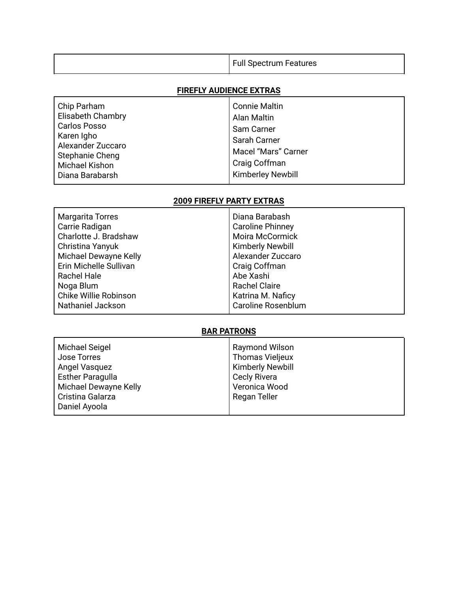| <b>Full Spectrum Features</b> |
|-------------------------------|
|                               |

## **FIREFLY AUDIENCE EXTRAS**

| Chip Parham              | <b>Connie Maltin</b>     |
|--------------------------|--------------------------|
| <b>Elisabeth Chambry</b> | Alan Maltin              |
| <b>Carlos Posso</b>      | Sam Carner               |
| Karen Igho               | Sarah Carner             |
| Alexander Zuccaro        | Macel "Mars" Carner      |
| Stephanie Cheng          | Craig Coffman            |
| <b>Michael Kishon</b>    | <b>Kimberley Newbill</b> |
| Diana Barabarsh          |                          |

## **2009 FIREFLY PARTY EXTRAS**

| <b>Margarita Torres</b> | Diana Barabash            |
|-------------------------|---------------------------|
| Carrie Radigan          | <b>Caroline Phinney</b>   |
| Charlotte J. Bradshaw   | <b>Moira McCormick</b>    |
| Christina Yanyuk        | <b>Kimberly Newbill</b>   |
| Michael Dewayne Kelly   | Alexander Zuccaro         |
| Erin Michelle Sullivan  | Craig Coffman             |
| <b>Rachel Hale</b>      | Abe Xashi                 |
| Noga Blum               | <b>Rachel Claire</b>      |
| Chike Willie Robinson   | Katrina M. Naficy         |
| Nathaniel Jackson       | <b>Caroline Rosenblum</b> |

## **BAR PATRONS**

| Michael Seigel        | <b>Raymond Wilson</b>   |
|-----------------------|-------------------------|
| Jose Torres           | <b>Thomas Vieljeux</b>  |
| Angel Vasquez         | <b>Kimberly Newbill</b> |
| Esther Paragulla      | <b>Cecly Rivera</b>     |
| Michael Dewayne Kelly | Veronica Wood           |
| Cristina Galarza      | Regan Teller            |
| Daniel Ayoola         |                         |
|                       |                         |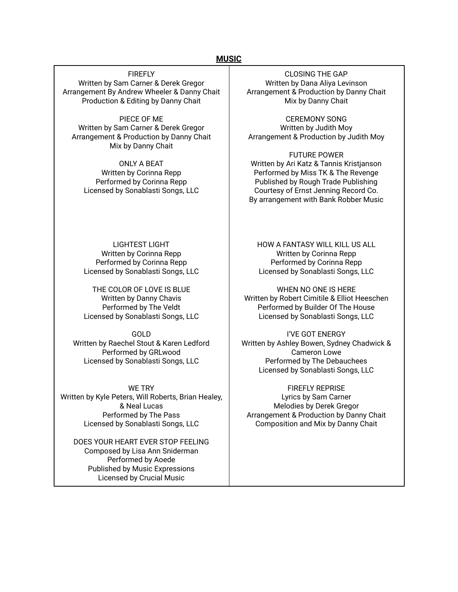#### **MUSIC**

**FIREFLY** Written by Sam Carner & Derek Gregor Arrangement By Andrew Wheeler & Danny Chait Production & Editing by Danny Chait

PIECE OF ME Written by Sam Carner & Derek Gregor Arrangement & Production by Danny Chait Mix by Danny Chait

ONLY A BEAT Written by Corinna Repp Performed by Corinna Repp Licensed by Sonablasti Songs, LLC

LIGHTEST LIGHT Written by Corinna Repp Performed by Corinna Repp Licensed by Sonablasti Songs, LLC

THE COLOR OF LOVE IS BLUE Written by Danny Chavis Performed by The Veldt Licensed by Sonablasti Songs, LLC

GOLD Written by Raechel Stout & Karen Ledford Performed by GRLwood Licensed by Sonablasti Songs, LLC

WE TRY Written by Kyle Peters, Will Roberts, Brian Healey, & Neal Lucas Performed by The Pass Licensed by Sonablasti Songs, LLC

DOES YOUR HEART EVER STOP FEELING Composed by Lisa Ann Sniderman Performed by Aoede Published by Music Expressions Licensed by Crucial Music

CLOSING THE GAP Written by Dana Aliya Levinson Arrangement & Production by Danny Chait Mix by Danny Chait

CEREMONY SONG Written by Judith Moy Arrangement & Production by Judith Moy

FUTURE POWER Written by Ari Katz & Tannis Kristjanson Performed by Miss TK & The Revenge Published by Rough Trade Publishing Courtesy of Ernst Jenning Record Co. By arrangement with Bank Robber Music

HOW A FANTASY WILL KILL US ALL Written by Corinna Repp Performed by Corinna Repp Licensed by Sonablasti Songs, LLC

WHEN NO ONE IS HERE Written by Robert Cimitile & Elliot Heeschen Performed by Builder Of The House Licensed by Sonablasti Songs, LLC

I'VE GOT ENERGY Written by Ashley Bowen, Sydney Chadwick & Cameron Lowe Performed by The Debauchees Licensed by Sonablasti Songs, LLC

FIREFLY REPRISE Lyrics by Sam Carner Melodies by Derek Gregor Arrangement & Production by Danny Chait Composition and Mix by Danny Chait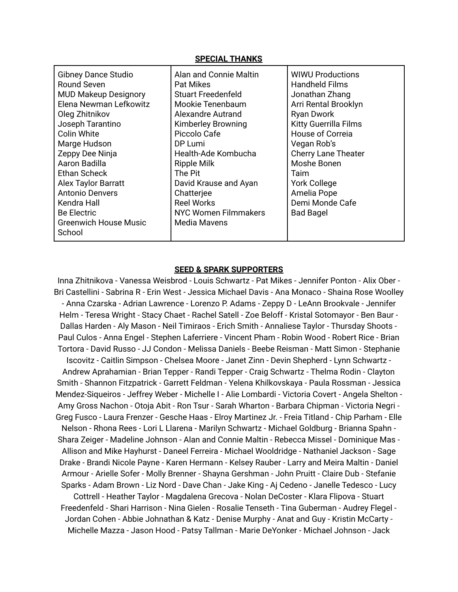#### **SPECIAL THANKS**

#### **SEED & SPARK SUPPORTERS**

Inna Zhitnikova - Vanessa Weisbrod - Louis Schwartz - Pat Mikes - Jennifer Ponton - Alix Ober - Bri Castellini - Sabrina R - Erin West - Jessica Michael Davis - Ana Monaco - Shaina Rose Woolley - Anna Czarska - Adrian Lawrence - Lorenzo P. Adams - Zeppy D - LeAnn Brookvale - Jennifer Helm - Teresa Wright - Stacy Chaet - Rachel Satell - Zoe Beloff - Kristal Sotomayor - Ben Baur - Dallas Harden - Aly Mason - Neil Timiraos - Erich Smith - Annaliese Taylor - Thursday Shoots - Paul Culos - Anna Engel - Stephen Laferriere - Vincent Pham - Robin Wood - Robert Rice - Brian Tortora - David Russo - JJ Condon - Melissa Daniels - Beebe Reisman - Matt Simon - Stephanie Iscovitz - Caitlin Simpson - Chelsea Moore - Janet Zinn - Devin Shepherd - Lynn Schwartz - Andrew Aprahamian - Brian Tepper - Randi Tepper - Craig Schwartz - Thelma Rodin - Clayton Smith - Shannon Fitzpatrick - Garrett Feldman - Yelena Khilkovskaya - Paula Rossman - Jessica Mendez-Siqueiros - Jeffrey Weber - Michelle I - Alie Lombardi - Victoria Covert - Angela Shelton - Amy Gross Nachon - Otoja Abit - Ron Tsur - Sarah Wharton - Barbara Chipman - Victoria Negri - Greg Fusco - Laura Frenzer - Gesche Haas - Elroy Martinez Jr. - Freia Titland - Chip Parham - Elle Nelson - Rhona Rees - Lori L Llarena - Marilyn Schwartz - Michael Goldburg - Brianna Spahn - Shara Zeiger - Madeline Johnson - Alan and Connie Maltin - Rebecca Missel - Dominique Mas - Allison and Mike Hayhurst - Daneel Ferreira - Michael Wooldridge - Nathaniel Jackson - Sage Drake - Brandi Nicole Payne - Karen Hermann - Kelsey Rauber - Larry and Meira Maltin - Daniel Armour - Arielle Sofer - Molly Brenner - Shayna Gershman - John Pruitt - Claire Dub - Stefanie Sparks - Adam Brown - Liz Nord - Dave Chan - Jake King - Aj Cedeno - Janelle Tedesco - Lucy Cottrell - Heather Taylor - Magdalena Grecova - Nolan DeCoster - Klara Flipova - Stuart Freedenfeld - Shari Harrison - Nina Gielen - Rosalie Tenseth - Tina Guberman - Audrey Flegel - Jordan Cohen - Abbie Johnathan & Katz - Denise Murphy - Anat and Guy - Kristin McCarty - Michelle Mazza - Jason Hood - Patsy Tallman - Marie DeYonker - Michael Johnson - Jack